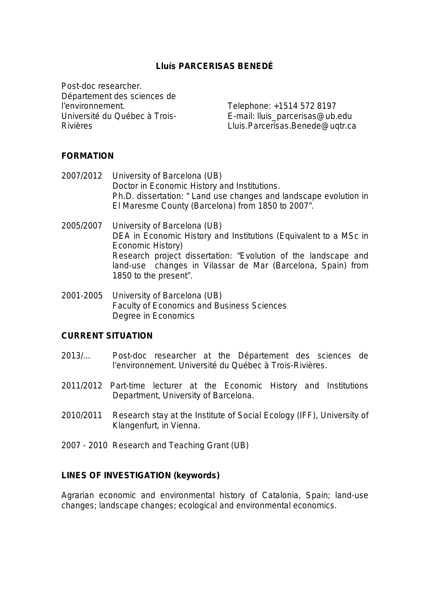# **Lluís PARCERISAS BENEDÉ**

Post-doc researcher. Département des sciences de l'environnement. Université du Québec à Trois-Rivières

Telephone: +1514 572 8197 E-mail: lluis\_parcerisas@ub.edu Lluis.Parcerisas.Benede@uqtr.ca

### **FORMATION**

2007/2012 University of Barcelona (UB) Doctor in Economic History and Institutions. Ph.D. dissertation: " Land use changes and landscape evolution in El Maresme County (Barcelona) from 1850 to 2007".

- 2005/2007 University of Barcelona (UB) DEA in Economic History and Institutions (Equivalent to a MSc in Economic History) Research project dissertation: "*Evolution of the landscape and land-use changes in Vilassar de Mar (Barcelona, Spain) from 1850 to the present*".
- 2001-2005 University of Barcelona (UB) Faculty of Economics and Business Sciences Degree in Economics

### **CURRENT SITUATION**

- 2013/... Post-doc researcher at the Département des sciences de l'environnement. Université du Québec à Trois-Rivières.
- 2011/2012 Part-time lecturer at the Economic History and Institutions Department, University of Barcelona.
- 2010/2011 Research stay at the Institute of Social Ecology (IFF), University of Klangenfurt, in Vienna.
- 2007 2010 Research and Teaching Grant (UB)

### **LINES OF INVESTIGATION (keywords)**

Agrarian economic and environmental history of Catalonia, Spain; land-use changes; landscape changes; ecological and environmental economics.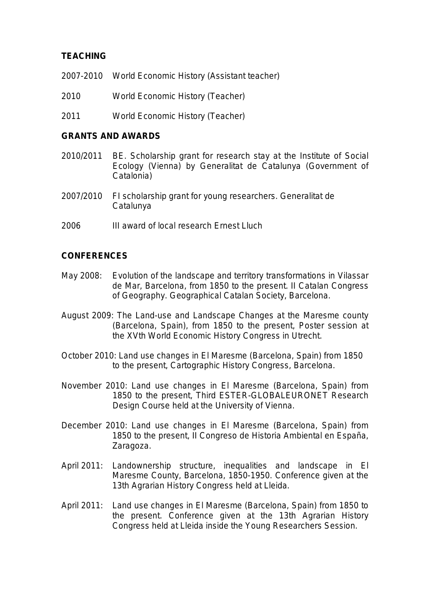# **TEACHING**

- 2007-2010 World Economic History (Assistant teacher)
- 2010 World Economic History (Teacher)
- 2011 World Economic History (Teacher)

### **GRANTS AND AWARDS**

- 2010/2011 BE. Scholarship grant for research stay at the Institute of Social Ecology (Vienna) by Generalitat de Catalunya (Government of Catalonia)
- 2007/2010 FI scholarship grant for young researchers. Generalitat de Catalunya
- 2006 III award of local research Ernest Lluch

### **CONFERENCES**

- May 2008: *Evolution of the landscape and territory transformations in Vilassar de Mar, Barcelona, from 1850 to the present.* II Catalan Congress of Geography. Geographical Catalan Society, Barcelona.
- August 2009: *The Land-use and Landscape Changes at the Maresme county (Barcelona, Spain), from 1850 to the present,* Poster session at the XVth World Economic History Congress in Utrecht.
- October 2010: *Land use changes in El Maresme (Barcelona, Spain) from 1850 to the present*, Cartographic History Congress, Barcelona.
- November 2010: *Land use changes in El Maresme (Barcelona, Spain) from 1850 to the present*, [Third ESTER-GLOBALEURONET Research](http://hum.leiden.edu/posthumus/news/third-ester-globaleuronet-rdc.html)  [Design Course](http://hum.leiden.edu/posthumus/news/third-ester-globaleuronet-rdc.html) held at the University of Vienna.
- December 2010: *Land use changes in El Maresme (Barcelona, Spain) from 1850 to the present*, II Congreso de Historia Ambiental en España, Zaragoza.
- April 2011: *Landownership structure, inequalities and landscape in El Maresme County, Barcelona, 1850-1950*. Conference given at the 13th Agrarian History Congress held at Lleida.
- April 2011: *Land use changes in El Maresme (Barcelona, Spain) from 1850 to the present.* Conference given at the 13th Agrarian History Congress held at Lleida inside the Young Researchers Session.